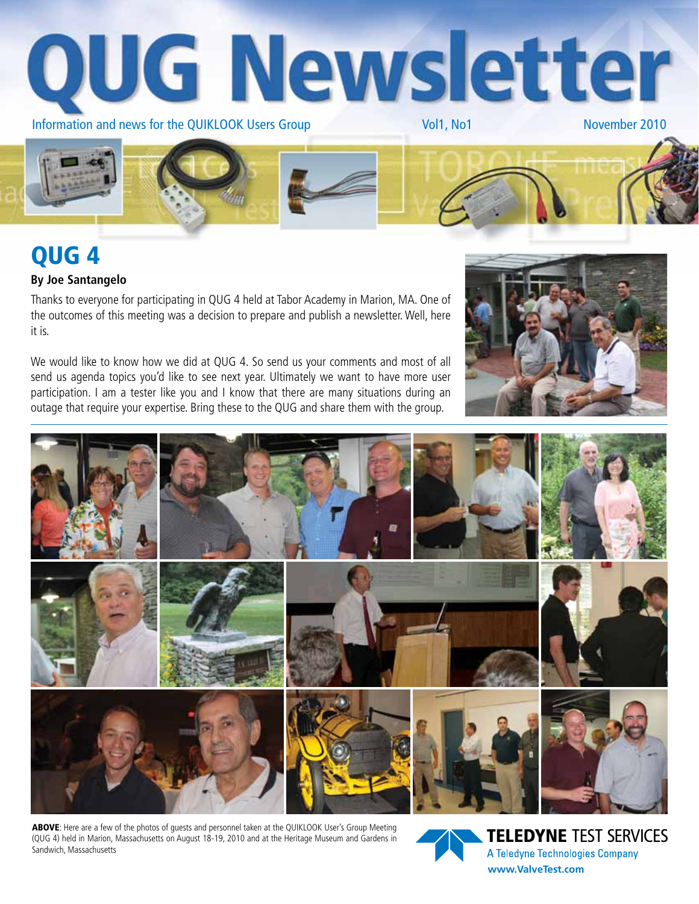



# QUG 4

#### **By Joe Santangelo**

Thanks to everyone for participating in QUG 4 held at Tabor Academy in Marion, MA. One of the outcomes of this meeting was a decision to prepare and publish a newsletter. Well, here it is.

We would like to know how we did at QUG 4. So send us your comments and most of all send us agenda topics you'd like to see next year. Ultimately we want to have more user participation. I am a tester like you and I know that there are many situations during an outage that require your expertise. Bring these to the QUG and share them with the group.





ABOVE: Here are a few of the photos of guests and personnel taken at the QUIKLOOK User's Group Meeting (QUG 4) held in Marion, Massachusetts on August 18-19, 2010 and at the Heritage Museum and Gardens in Sandwich, Massachusetts

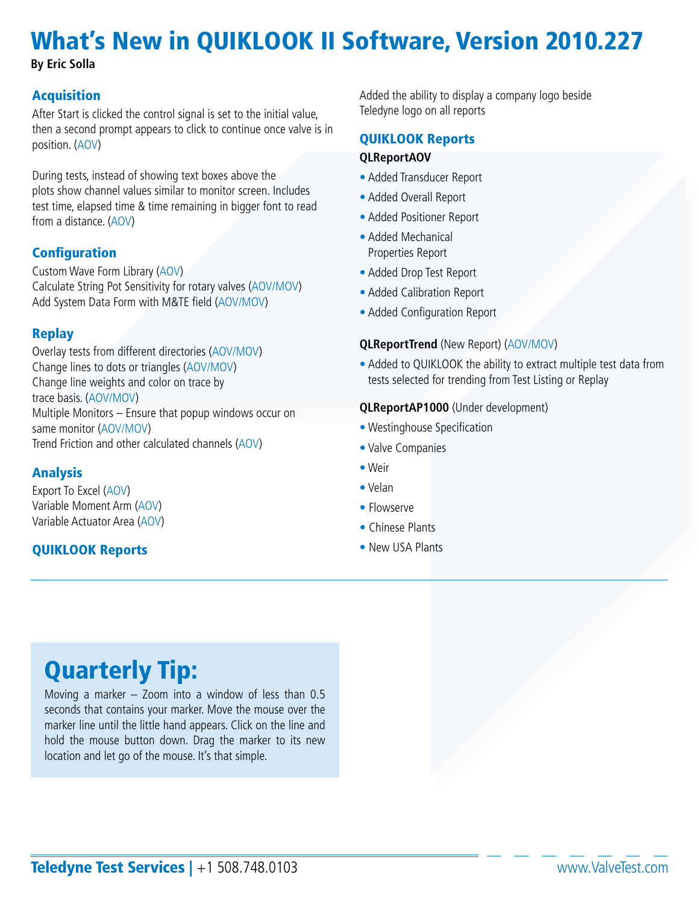# What's New in QUIKLOOK II Software, Version 2010.227

**By Eric Solla**

### **Acquisition**

After Start is clicked the control signal is set to the initial value, then a second prompt appears to click to continue once valve is in position. (AOV)

During tests, instead of showing text boxes above the plots show channel values similar to monitor screen. Includes test time, elapsed time & time remaining in bigger font to read from a distance. (AOV)

## **Configuration**

Custom Wave Form Library (AOV) Calculate String Pot Sensitivity for rotary valves (AOV/MOV) Add System Data Form with M&TE field (AOV/MOV)

## Replay

Overlay tests from different directories (AOV/MOV) Change lines to dots or triangles (AOV/MOV) Change line weights and color on trace by trace basis. (AOV/MOV) Multiple Monitors – Ensure that popup windows occur on same monitor (AOV/MOV) Trend Friction and other calculated channels (AOV)

### **Analysis**

Export To Excel (AOV) Variable Moment Arm (AOV) Variable Actuator Area (AOV)

### QUIKLOOK Reports

Added the ability to display a company logo beside Teledyne logo on all reports

### QUIKLOOK Reports

#### **QLReportAOV**

- Added Transducer Report
- Added Overall Report
- Added Positioner Report
- Added Mechanical Properties Report
- Added Drop Test Report
- Added Calibration Report
- Added Configuration Report

#### **QLReportTrend** (New Report) (AOV/MOV)

• Added to QUIKLOOK the ability to extract multiple test data from tests selected for trending from Test Listing or Replay

#### **QLReportAP1000** (Under development)

- Westinghouse Specification
- Valve Companies
- Weir
- Velan
- Flowserve
- Chinese Plants
- New USA Plants

## Quarterly Tip:

Moving a marker – Zoom into a window of less than 0.5 seconds that contains your marker. Move the mouse over the marker line until the little hand appears. Click on the line and hold the mouse button down. Drag the marker to its new location and let go of the mouse. It's that simple.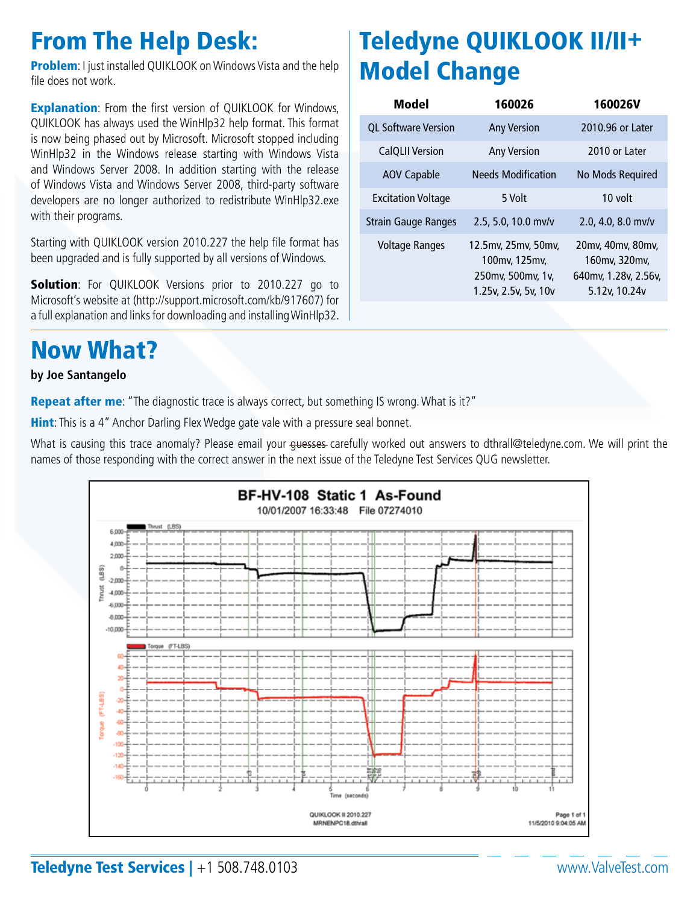## From The Help Desk:

**Problem:** I just installed QUIKLOOK on Windows Vista and the help file does not work.

**Explanation:** From the first version of QUIKLOOK for Windows, QUIKLOOK has always used the WinHlp32 help format. This format is now being phased out by Microsoft. Microsoft stopped including WinHlp32 in the Windows release starting with Windows Vista and Windows Server 2008. In addition starting with the release of Windows Vista and Windows Server 2008, third-party software developers are no longer authorized to redistribute WinHlp32.exe with their programs.

Starting with QUIKLOOK version 2010.227 the help file format has been upgraded and is fully supported by all versions of Windows.

Solution: For QUIKLOOK Versions prior to 2010.227 go to Microsoft's website at (http://support.microsoft.com/kb/917607) for a full explanation and links for downloading and installing WinHlp32.

## Now What?

#### **by Joe Santangelo**

Repeat after me: "The diagnostic trace is always correct, but something IS wrong. What is it?"

**Hint:** This is a 4" Anchor Darling Flex Wedge gate vale with a pressure seal bonnet.

What is causing this trace anomaly? Please email your guesses carefully worked out answers to dthrall@teledyne.com. We will print the names of those responding with the correct answer in the next issue of the Teledyne Test Services QUG newsletter.



# Teledyne QUIKLOOK II/II+ Model Change

| Model                      | 160026                                                                            | <b>160026V</b>                                                              |
|----------------------------|-----------------------------------------------------------------------------------|-----------------------------------------------------------------------------|
| <b>QL Software Version</b> | <b>Any Version</b>                                                                | 2010.96 or Later                                                            |
| <b>CalQLII Version</b>     | <b>Any Version</b>                                                                | 2010 or Later                                                               |
| <b>AOV Capable</b>         | <b>Needs Modification</b>                                                         | No Mods Required                                                            |
| <b>Excitation Voltage</b>  | 5 Volt                                                                            | 10 volt                                                                     |
| Strain Gauge Ranges        | 2.5, 5.0, 10.0 mv/v                                                               | $2.0, 4.0, 8.0$ mv/v                                                        |
| <b>Voltage Ranges</b>      | 12.5mv, 25mv, 50mv,<br>100mv, 125mv,<br>250mv, 500mv, 1v,<br>1.25v, 2.5v, 5v, 10v | 20mv, 40mv, 80mv,<br>160mv, 320mv,<br>640mv, 1.28v, 2.56v,<br>5.12v, 10.24v |